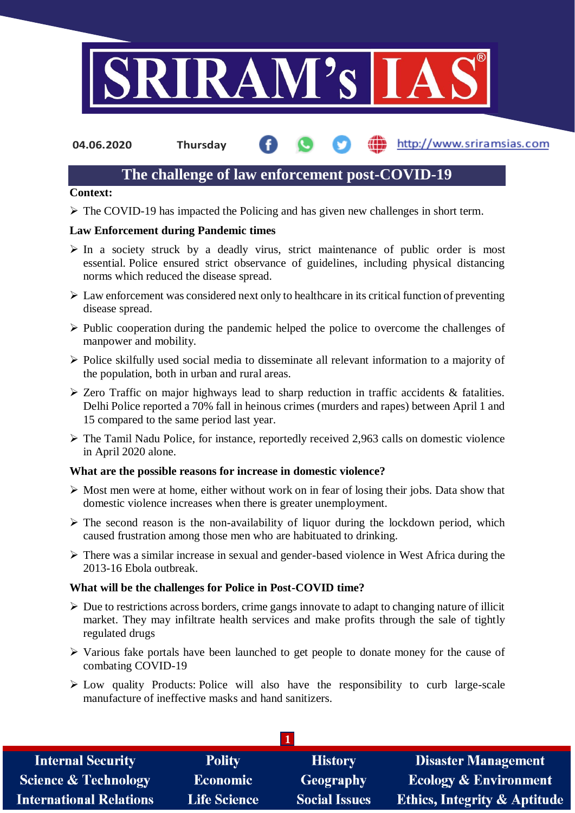

**04.06.2020 Thursday**

## http://www.sriramsias.com

# **The challenge of law enforcement post-COVID-19**

#### **Context:**

The COVID-19 has impacted the Policing and has given new challenges in short term.

## **Law Enforcement during Pandemic times**

- $\triangleright$  In a society struck by a deadly virus, strict maintenance of public order is most essential. Police ensured strict observance of guidelines, including physical distancing norms which reduced the disease spread.
- $\triangleright$  Law enforcement was considered next only to healthcare in its critical function of preventing disease spread.
- $\triangleright$  Public cooperation during the pandemic helped the police to overcome the challenges of manpower and mobility.
- $\triangleright$  Police skilfully used social media to disseminate all relevant information to a majority of the population, both in urban and rural areas.
- Zero Traffic on major highways lead to sharp reduction in traffic accidents & fatalities. Delhi Police reported a 70% fall in heinous crimes (murders and rapes) between April 1 and 15 compared to the same period last year.
- The Tamil Nadu Police, for instance, reportedly received 2,963 calls on domestic violence in April 2020 alone.

### **What are the possible reasons for increase in domestic violence?**

- $\triangleright$  Most men were at home, either without work on in fear of losing their jobs. Data show that domestic violence increases when there is greater unemployment.
- $\triangleright$  The second reason is the non-availability of liquor during the lockdown period, which caused frustration among those men who are habituated to drinking.
- There was a similar increase in sexual and gender-based violence in West Africa during the 2013-16 Ebola outbreak.

### **What will be the challenges for Police in Post-COVID time?**

- $\triangleright$  Due to restrictions across borders, crime gangs innovate to adapt to changing nature of illicit market. They may infiltrate health services and make profits through the sale of tightly regulated drugs
- $\triangleright$  Various fake portals have been launched to get people to donate money for the cause of combating COVID-19
- $\triangleright$  Low quality Products: Police will also have the responsibility to curb large-scale manufacture of ineffective masks and hand sanitizers.

| <b>Internal Security</b>        | <b>Polity</b>       | <b>History</b>       | <b>Disaster Management</b>              |
|---------------------------------|---------------------|----------------------|-----------------------------------------|
| <b>Science &amp; Technology</b> | <b>Economic</b>     | Geography            | <b>Ecology &amp; Environment</b>        |
| <b>International Relations</b>  | <b>Life Science</b> | <b>Social Issues</b> | <b>Ethics, Integrity &amp; Aptitude</b> |